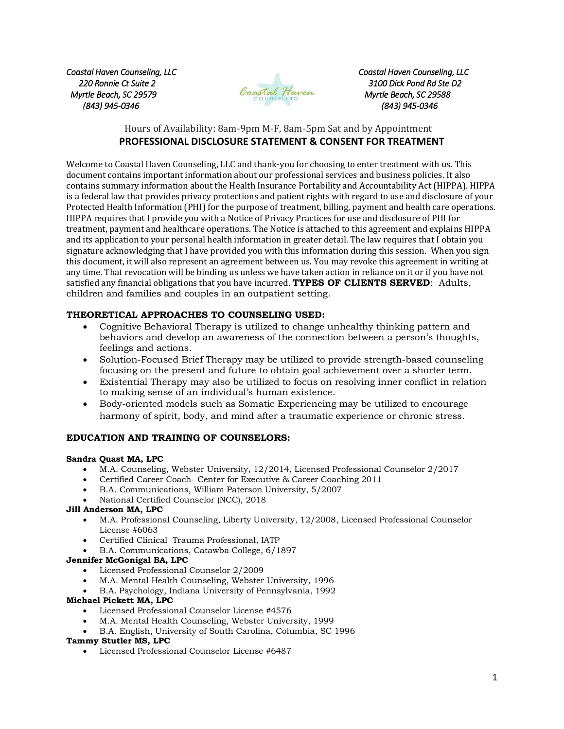*Myrtle Beach, SC 29579 Myrtle Beach, SC 29588 (843) 945-0346 (843) 945-0346* 



*Coastal Haven Counseling, LLC Coastal Haven Counseling, LLC 220 Ronnie Ct Suite 2 3100 Dick Pond Rd Ste D2* 

# Hours of Availability: 8am-9pm M-F, 8am-5pm Sat and by Appointment **PROFESSIONAL DISCLOSURE STATEMENT & CONSENT FOR TREATMENT**

Welcome to Coastal Haven Counseling, LLC and thank-you for choosing to enter treatment with us. This document contains important information about our professional services and business policies. It also contains summary information about the Health Insurance Portability and Accountability Act (HIPPA). HIPPA is a federal law that provides privacy protections and patient rights with regard to use and disclosure of your Protected Health Information (PHI) for the purpose of treatment, billing, payment and health care operations. HIPPA requires that I provide you with a Notice of Privacy Practices for use and disclosure of PHI for treatment, payment and healthcare operations. The Notice is attached to this agreement and explains HIPPA and its application to your personal health information in greater detail. The law requires that I obtain you signature acknowledging that I have provided you with this information during this session. When you sign this document, it will also represent an agreement between us. You may revoke this agreement in writing at any time. That revocation will be binding us unless we have taken action in reliance on it or if you have not satisfied any financial obligations that you have incurred. **TYPES OF CLIENTS SERVED**: Adults, children and families and couples in an outpatient setting.

# **THEORETICAL APPROACHES TO COUNSELING USED:**

- Cognitive Behavioral Therapy is utilized to change unhealthy thinking pattern and behaviors and develop an awareness of the connection between a person's thoughts, feelings and actions.
- Solution-Focused Brief Therapy may be utilized to provide strength-based counseling focusing on the present and future to obtain goal achievement over a shorter term.
- Existential Therapy may also be utilized to focus on resolving inner conflict in relation to making sense of an individual's human existence.
- Body-oriented models such as Somatic Experiencing may be utilized to encourage harmony of spirit, body, and mind after a traumatic experience or chronic stress.

# **EDUCATION AND TRAINING OF COUNSELORS:**

## **Sandra Quast MA, LPC**

- M.A. Counseling, Webster University, 12/2014, Licensed Professional Counselor 2/2017
- Certified Career Coach- Center for Executive & Career Coaching 2011
- B.A. Communications, William Paterson University, 5/2007
- National Certified Counselor (NCC), 2018

# **Jill Anderson MA, LPC**

- M.A. Professional Counseling, Liberty University, 12/2008, Licensed Professional Counselor License #6063
- Certified Clinical Trauma Professional, IATP
- B.A. Communications, Catawba College, 6/1897

## **Jennifer McGonigal BA, LPC**

- Licensed Professional Counselor 2/2009
- M.A. Mental Health Counseling, Webster University, 1996
- B.A. Psychology, Indiana University of Pennsylvania, 1992

## **Michael Pickett MA, LPC**

- Licensed Professional Counselor License #4576
- M.A. Mental Health Counseling, Webster University, 1999
- B.A. English, University of South Carolina, Columbia, SC 1996

## **Tammy Stutler MS, LPC**

Licensed Professional Counselor License #6487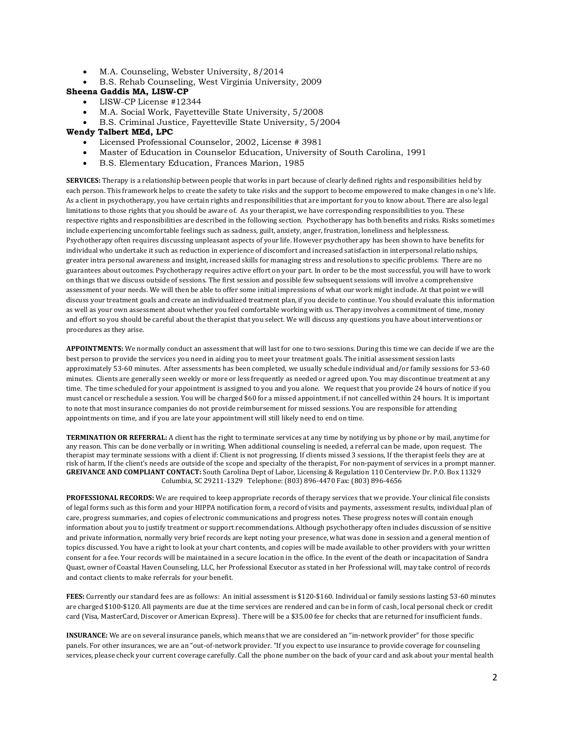- M.A. Counseling, Webster University, 8/2014
- B.S. Rehab Counseling, West Virginia University, 2009

#### **Sheena Gaddis MA, LISW-CP**

- LISW-CP License #12344
- M.A. Social Work, Fayetteville State University, 5/2008
- B.S. Criminal Justice, Fayetteville State University, 5/2004

#### **Wendy Talbert MEd, LPC**

- Licensed Professional Counselor, 2002, License # 3981
- Master of Education in Counselor Education, University of South Carolina, 1991
- B.S. Elementary Education, Frances Marion, 1985

**SERVICES:** Therapy is a relationship between people that works in part because of clearly defined rights and responsibilities held by each person. This framework helps to create the safety to take risks and the support to become empowered to make changes in one's life. As a client in psychotherapy, you have certain rights and responsibilities that are important for you to know about. There are also legal limitations to those rights that you should be aware of. As your therapist, we have corresponding responsibilities to you. These respective rights and responsibilities are described in the following section. Psychotherapy has both benefits and risks. Risks sometimes include experiencing uncomfortable feelings such as sadness, guilt, anxiety, anger, frustration, loneliness and helplessness. Psychotherapy often requires discussing unpleasant aspects of your life. However psychotherapy has been shown to have benefits for individual who undertake it such as reduction in experience of discomfort and increased satisfaction in interpersonal relationships, greater intra personal awareness and insight, increased skills for managing stress and resolutions to specific problems. There are no guarantees about outcomes. Psychotherapy requires active effort on your part. In order to be the most successful, you will have to work on things that we discuss outside of sessions. The first session and possible few subsequent sessions will involve a comprehensive assessment of your needs. We will then be able to offer some initial impressions of what our work might include. At that point we will discuss your treatment goals and create an individualized treatment plan, if you decide to continue. You should evaluate this information as well as your own assessment about whether you feel comfortable working with us. Therapy involves a commitment of time, money and effort so you should be careful about the therapist that you select. We will discuss any questions you have about interventions or procedures as they arise.

**APPOINTMENTS:** We normally conduct an assessment that will last for one to two sessions. During this time we can decide if we are the best person to provide the services you need in aiding you to meet your treatment goals. The initial assessment session lasts approximately 53-60 minutes. After assessments has been completed, we usually schedule individual and/or family sessions for 53-60 minutes. Clients are generally seen weekly or more or less frequently as needed or agreed upon. You may discontinue treatment at any time. The time scheduled for your appointment is assigned to you and you alone. We request that you provide 24 hours of notice if you must cancel or reschedule a session. You will be charged \$60 for a missed appointment, if not cancelled within 24 hours. It is important to note that most insurance companies do not provide reimbursement for missed sessions. You are responsible for attending appointments on time, and if you are late your appointment will still likely need to end on time.

**TERMINATION OR REFERRAL:** A client has the right to terminate services at any time by notifying us by phone or by mail, anytime for any reason. This can be done verbally or in writing. When additional counseling is needed, a referral can be made, upon request. The therapist may terminate sessions with a client if: Client is not progressing, If clients missed 3 sessions, If the therapist feels they are at risk of harm, If the client's needs are outside of the scope and specialty of the therapist, For non-payment of services in a prompt manner. **GREIVANCE AND COMPLIANT CONTACT:** South Carolina Dept of Labor, Licensing & Regulation 110 Centerview Dr. P.O. Box 11329 Columbia, SC 29211-1329 Telephone: (803) 896-4470 Fax: (803) 896-4656

**PROFESSIONAL RECORDS:** We are required to keep appropriate records of therapy services that we provide. Your clinical file consists of legal forms such as this form and your HIPPA notification form, a record of visits and payments, assessment results, individual plan of care, progress summaries, and copies of electronic communications and progress notes. These progress notes will contain enough information about you to justify treatment or support recommendations. Although psychotherapy often includes discussion of sensitive and private information, normally very brief records are kept noting your presence, what was done in session and a general mention of topics discussed. You have a right to look at your chart contents, and copies will be made available to other providers with your written consent for a fee. Your records will be maintained in a secure location in the office. In the event of the death or incapacitation of Sandra Quast, owner of Coastal Haven Counseling, LLC, her Professional Executor as stated in her Professional will, may take control of records and contact clients to make referrals for your benefit.

**FEES:** Currently our standard fees are as follows: An initial assessment is \$120-\$160. Individual or family sessions lasting 53-60 minutes are charged \$100-\$120. All payments are due at the time services are rendered and can be in form of cash, local personal check or credit card (Visa, MasterCard, Discover or American Express). There will be a \$35.00 fee for checks that are returned for insufficient funds.

**INSURANCE:** We are on several insurance panels, which means that we are considered an "in-network provider" for those specific panels. For other insurances, we are an "out-of-network provider. "If you expect to use insurance to provide coverage for counseling services, please check your current coverage carefully. Call the phone number on the back of your card and ask about your mental health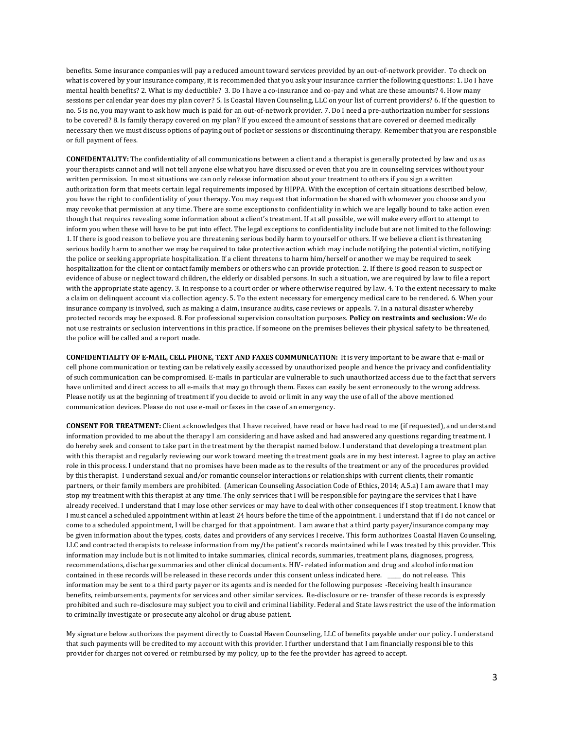benefits. Some insurance companies will pay a reduced amount toward services provided by an out-of-network provider. To check on what is covered by your insurance company, it is recommended that you ask your insurance carrier the following questions: 1. Do I have mental health benefits? 2. What is my deductible? 3. Do I have a co-insurance and co-pay and what are these amounts? 4. How many sessions per calendar year does my plan cover? 5. Is Coastal Haven Counseling, LLC on your list of current providers? 6. If the question to no. 5 is no, you may want to ask how much is paid for an out-of-network provider. 7. Do I need a pre-authorization number for sessions to be covered? 8. Is family therapy covered on my plan? If you exceed the amount of sessions that are covered or deemed medically necessary then we must discuss options of paying out of pocket or sessions or discontinuing therapy. Remember that you are responsible or full payment of fees.

**CONFIDENTALITY:** The confidentiality of all communications between a client and a therapist is generally protected by law and us as your therapists cannot and will not tell anyone else what you have discussed or even that you are in counseling services without your written permission. In most situations we can only release information about your treatment to others if you sign a written authorization form that meets certain legal requirements imposed by HIPPA. With the exception of certain situations described below, you have the right to confidentiality of your therapy. You may request that information be shared with whomever you choose and you may revoke that permission at any time. There are some exceptions to confidentiality in which we are legally bound to take action even though that requires revealing some information about a client's treatment. If at all possible, we will make every effort to attempt to inform you when these will have to be put into effect. The legal exceptions to confidentiality include but are not limited to the following: 1. If there is good reason to believe you are threatening serious bodily harm to yourself or others. If we believe a client is threatening serious bodily harm to another we may be required to take protective action which may include notifying the potential victim, notifying the police or seeking appropriate hospitalization. If a client threatens to harm him/herself or another we may be required to seek hospitalization for the client or contact family members or others who can provide protection. 2. If there is good reason to suspect or evidence of abuse or neglect toward children, the elderly or disabled persons. In such a situation, we are required by law to file a report with the appropriate state agency. 3. In response to a court order or where otherwise required by law. 4. To the extent necessary to make a claim on delinquent account via collection agency. 5. To the extent necessary for emergency medical care to be rendered. 6. When your insurance company is involved, such as making a claim, insurance audits, case reviews or appeals. 7. In a natural disaster whereby protected records may be exposed. 8. For professional supervision consultation purposes. **Policy on restraints and seclusion:** We do not use restraints or seclusion interventions in this practice. If someone on the premises believes their physical safety to be threatened, the police will be called and a report made.

**CONFIDENTIALITY OF E-MAIL, CELL PHONE, TEXT AND FAXES COMMUNICATION:** It is very important to be aware that e-mail or cell phone communication or texting can be relatively easily accessed by unauthorized people and hence the privacy and confidentiality of such communication can be compromised. E-mails in particular are vulnerable to such unauthorized access due to the fact that servers have unlimited and direct access to all e-mails that may go through them. Faxes can easily be sent erroneously to the wrong address. Please notify us at the beginning of treatment if you decide to avoid or limit in any way the use of all of the above mentioned communication devices. Please do not use e-mail or faxes in the case of an emergency.

**CONSENT FOR TREATMENT:** Client acknowledges that I have received, have read or have had read to me (if requested), and understand information provided to me about the therapy I am considering and have asked and had answered any questions regarding treatment. I do hereby seek and consent to take part in the treatment by the therapist named below. I understand that developing a treatment plan with this therapist and regularly reviewing our work toward meeting the treatment goals are in my best interest. I agree to play an active role in this process. I understand that no promises have been made as to the results of the treatment or any of the procedures provided by this therapist. I understand sexual and/or romantic counselor interactions or relationships with current clients, their romantic partners, or their family members are prohibited. (American Counseling Association Code of Ethics, 2014; A.5.a) I am aware that I may stop my treatment with this therapist at any time. The only services that I will be responsible for paying are the services that I have already received. I understand that I may lose other services or may have to deal with other consequences if I stop treatment. I know that I must cancel a scheduled appointment within at least 24 hours before the time of the appointment. I understand that if I do not cancel or come to a scheduled appointment, I will be charged for that appointment. I am aware that a third party payer/insurance company may be given information about the types, costs, dates and providers of any services I receive. This form authorizes Coastal Haven Counseling, LLC and contracted therapists to release information from my/the patient's records maintained while I was treated by this provider. This information may include but is not limited to intake summaries, clinical records, summaries, treatment plans, diagnoses, progress, recommendations, discharge summaries and other clinical documents. HIV- related information and drug and alcohol information contained in these records will be released in these records under this consent unless indicated here. \_\_\_\_\_ do not release. This information may be sent to a third party payer or its agents and is needed for the following purposes: -Receiving health insurance benefits, reimbursements, payments for services and other similar services. Re-disclosure or re- transfer of these records is expressly prohibited and such re-disclosure may subject you to civil and criminal liability. Federal and State laws restrict the use of the information to criminally investigate or prosecute any alcohol or drug abuse patient.

My signature below authorizes the payment directly to Coastal Haven Counseling, LLC of benefits payable under our policy. I understand that such payments will be credited to my account with this provider. I further understand that I am financially responsible to this provider for charges not covered or reimbursed by my policy, up to the fee the provider has agreed to accept.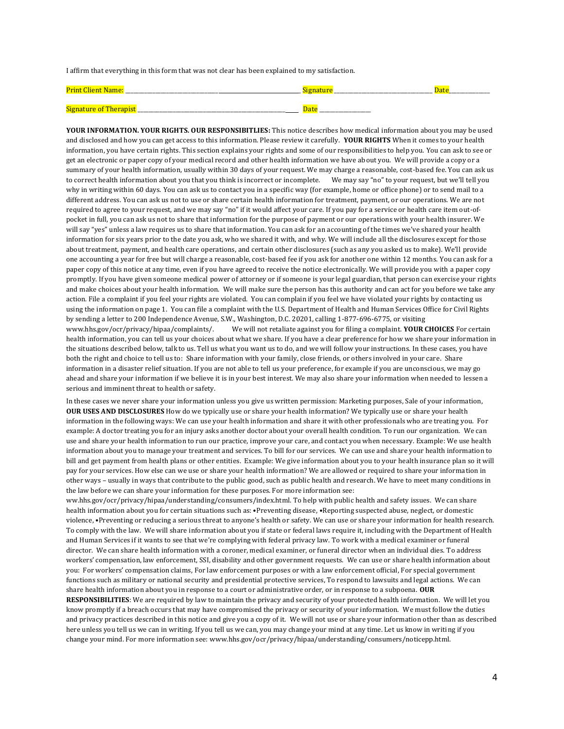I affirm that everything in this form that was not clear has been explained to my satisfaction.

| <b>Print Client</b><br><b>Name</b> | наш  | Dal |
|------------------------------------|------|-----|
|                                    |      |     |
| Signature of<br>Therapis           | Date |     |

**YOUR INFORMATION. YOUR RIGHTS. OUR RESPONSIBITLIES:** This notice describes how medical information about you may be used and disclosed and how you can get access to this information. Please review it carefully. **YOUR RIGHTS** When it comes to your health information, you have certain rights. This section explains your rights and some of our responsibilities to help you. You can ask to see or get an electronic or paper copy of your medical record and other health information we have about you. We will provide a copy or a summary of your health information, usually within 30 days of your request. We may charge a reasonable, cost-based fee. You can ask us to correct health information about you that you think is incorrect or incomplete. We may say "no" to your request, but we'll tell you why in writing within 60 days. You can ask us to contact you in a specific way (for example, home or office phone) or to send mail to a different address. You can ask us not to use or share certain health information for treatment, payment, or our operations. We are not required to agree to your request, and we may say "no" if it would affect your care. If you pay for a service or health care item out-ofpocket in full, you can ask us not to share that information for the purpose of payment or our operations with your health insurer. We will say "yes" unless a law requires us to share that information. You can ask for an accounting of the times we've shared your health information for six years prior to the date you ask, who we shared it with, and why. We will include all the disclosures except for those about treatment, payment, and health care operations, and certain other disclosures (such as any you asked us to make). We'll provide one accounting a year for free but will charge a reasonable, cost-based fee if you ask for another one within 12 months. You can ask for a paper copy of this notice at any time, even if you have agreed to receive the notice electronically. We will provide you with a paper copy promptly. If you have given someone medical power of attorney or if someone is your legal guardian, that person can exercise your rights and make choices about your health information. We will make sure the person has this authority and can act for you before we take any action. File a complaint if you feel your rights are violated. You can complain if you feel we have violated your rights by contacting us using the information on page 1. You can file a complaint with the U.S. Department of Health and Human Services Office for Civil Rights by sending a letter to 200 Independence Avenue, S.W., Washington, D.C. 20201, calling 1-877-696-6775, or visiting www.hhs.gov/ocr/privacy/hipaa/complaints/. We will not retaliate against you for filing a complaint. **YOUR CHOICES** For certain health information, you can tell us your choices about what we share. If you have a clear preference for how we share your information in the situations described below, talk to us. Tell us what you want us to do, and we will follow your instructions. In these cases, you have both the right and choice to tell us to: Share information with your family, close friends, or others involved in your care. Share information in a disaster relief situation. If you are not able to tell us your preference, for example if you are unconscious, we may go ahead and share your information if we believe it is in your best interest. We may also share your information when needed to lessen a serious and imminent threat to health or safety.

In these cases we never share your information unless you give us written permission: Marketing purposes, Sale of your information, **OUR USES AND DISCLOSURES** How do we typically use or share your health information? We typically use or share your health information in the following ways: We can use your health information and share it with other professionals who are treating you. For example: A doctor treating you for an injury asks another doctor about your overall health condition. To run our organization. We can use and share your health information to run our practice, improve your care, and contact you when necessary. Example: We use health information about you to manage your treatment and services. To bill for our services. We can use and share your health information to bill and get payment from health plans or other entities. Example: We give information about you to your health insurance plan so it will pay for your services. How else can we use or share your health information? We are allowed or required to share your information in other ways – usually in ways that contribute to the public good, such as public health and research. We have to meet many conditions in the law before we can share your information for these purposes. For more information see:

ww.hhs.gov/ocr/privacy/hipaa/understanding/consumers/index.html. To help with public health and safety issues. We can share health information about you for certain situations such as: •Preventing disease, •Reporting suspected abuse, neglect, or domestic violence, •Preventing or reducing a serious threat to anyone's health or safety. We can use or share your information for health research. To comply with the law. We will share information about you if state or federal laws require it, including with the Department of Health and Human Services if it wants to see that we're complying with federal privacy law. To work with a medical examiner or funeral director. We can share health information with a coroner, medical examiner, or funeral director when an individual dies. To address workers' compensation, law enforcement, SSI, disability and other government requests. We can use or share health information about you: For workers' compensation claims, For law enforcement purposes or with a law enforcement official, For special government functions such as military or national security and presidential protective services, To respond to lawsuits and legal actions. We can share health information about you in response to a court or administrative order, or in response to a subpoena. **OUR** 

**RESPONSIBILITIES**: We are required by law to maintain the privacy and security of your protected health information. We will let you know promptly if a breach occurs that may have compromised the privacy or security of your information. We must follow the duties and privacy practices described in this notice and give you a copy of it. We will not use or share your information other than as described here unless you tell us we can in writing. If you tell us we can, you may change your mind at any time. Let us know in writing if you change your mind. For more information see: www.hhs.gov/ocr/privacy/hipaa/understanding/consumers/noticepp.html.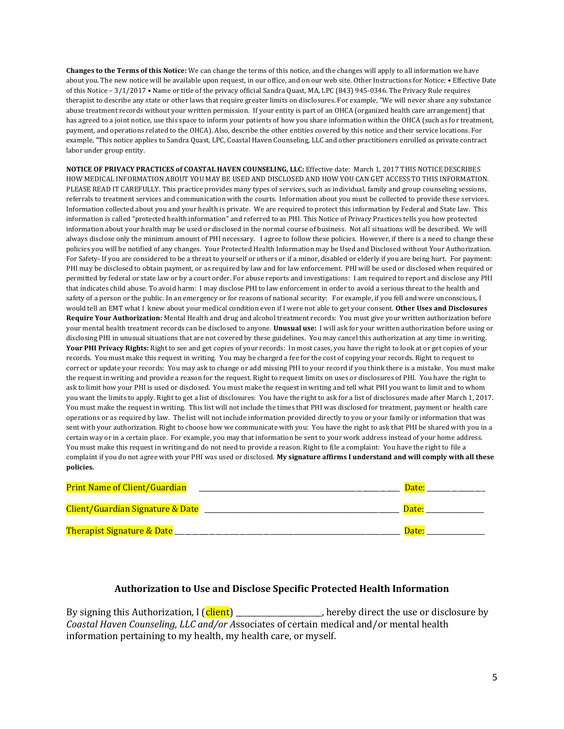**Changes to the Terms of this Notice:** We can change the terms of this notice, and the changes will apply to all information we have about you. The new notice will be available upon request, in our office, and on our web site. Other Instructions for Notice: • Effective Date of this Notice – 3/1/2017 • Name or title of the privacy official Sandra Quast, MA, LPC (843) 945-0346. The Privacy Rule requires therapist to describe any state or other laws that require greater limits on disclosures. For example, "We will never share any substance abuse treatment records without your written permission. If your entity is part of an OHCA (organized health care arrangement) that has agreed to a joint notice, use this space to inform your patients of how you share information within the OHCA (such as for treatment, payment, and operations related to the OHCA). Also, describe the other entities covered by this notice and their service locations. For example, "This notice applies to Sandra Quast, LPC, Coastal Haven Counseling, LLC and other practitioners enrolled as private contract labor under group entity.

**NOTICE OF PRIVACY PRACTICES of COASTAL HAVEN COUNSELING, LLC:** Effective date: March 1, 2017 THIS NOTICE DESCRIBES HOW MEDICAL INFORMATION ABOUT YOU MAY BE USED AND DISCLOSED AND HOW YOU CAN GET ACCESS TO THIS INFORMATION. PLEASE READ IT CAREFULLY. This practice provides many types of services, such as individual, family and group counseling sessions, referrals to treatment services and communication with the courts. Information about you must be collected to provide these services. Information collected about you and your health is private. We are required to protect this information by Federal and State law. This information is called "protected health information" and referred to as PHI. This Notice of Privacy Practices tells you how protected information about your health may be used or disclosed in the normal course of business. Not all situations will be described. We will always disclose only the minimum amount of PHI necessary. I agree to follow these policies. However, if there is a need to change these policies you will be notified of any changes. Your Protected Health Information may be Used and Disclosed without Your Authorization. For Safety- If you are considered to be a threat to yourself or others or if a minor, disabled or elderly if you are being hurt. For payment: PHI may be disclosed to obtain payment, or as required by law and for law enforcement. PHI will be used or disclosed when required or permitted by federal or state law or by a court order. For abuse reports and investigations: I am required to report and disclose any PHI that indicates child abuse. To avoid harm: I may disclose PHI to law enforcement in order to avoid a serious threat to the health and safety of a person or the public. In an emergency or for reasons of national security: For example, if you fell and were unconscious, I would tell an EMT what I knew about your medical condition even if I were not able to get your consent. **Other Uses and Disclosures Require Your Authorization:** Mental Health and drug and alcohol treatment records: You must give your written authorization before your mental health treatment records can be disclosed to anyone. **Unusual use:** I will ask for your written authorization before using or disclosing PHI in unusual situations that are not covered by these guidelines. You may cancel this authorization at any time in writing. Your PHI Privacy Rights: Right to see and get copies of your records: In most cases, you have the right to look at or get copies of your records. You must make this request in writing. You may be charged a fee for the cost of copying your records. Right to request to correct or update your records: You may ask to change or add missing PHI to your record if you think there is a mistake. You must make the request in writing and provide a reason for the request. Right to request limits on uses or disclosures of PHI. You have the right to ask to limit how your PHI is used or disclosed. You must make the request in writing and tell what PHI you want to limit and to whom you want the limits to apply. Right to get a list of disclosures: You have the right to ask for a list of disclosures made after March 1, 2017. You must make the request in writing. This list will not include the times that PHI was disclosed for treatment, payment or health care operations or as required by law. The list will not include information provided directly to you or your family or information that was sent with your authorization. Right to choose how we communicate with you: You have the right to ask that PHI be shared with you in a certain way or in a certain place. For example, you may that information be sent to your work address instead of your home address. You must make this request in writing and do not need to provide a reason. Right to file a complaint: You have the right to file a complaint if you do not agree with your PHI was used or disclosed. **My signature affirms I understand and will comply with all these policies.**

| <b>Print Name of Client/Guardian</b>        | Date: |
|---------------------------------------------|-------|
| <b>Client/Guardian Signature &amp; Date</b> | Date: |
| <b>Therapist Signature &amp; Date</b>       | Date: |

# **Authorization to Use and Disclose Specific Protected Health Information**

By signing this Authorization,  $I$  ( $\frac{client}{l}$ ) \_\_\_\_\_\_\_\_\_\_\_\_\_\_\_\_\_\_\_, hereby direct the use or disclosure by *Coastal Haven Counseling, LLC and/or A*ssociates of certain medical and/or mental health information pertaining to my health, my health care, or myself.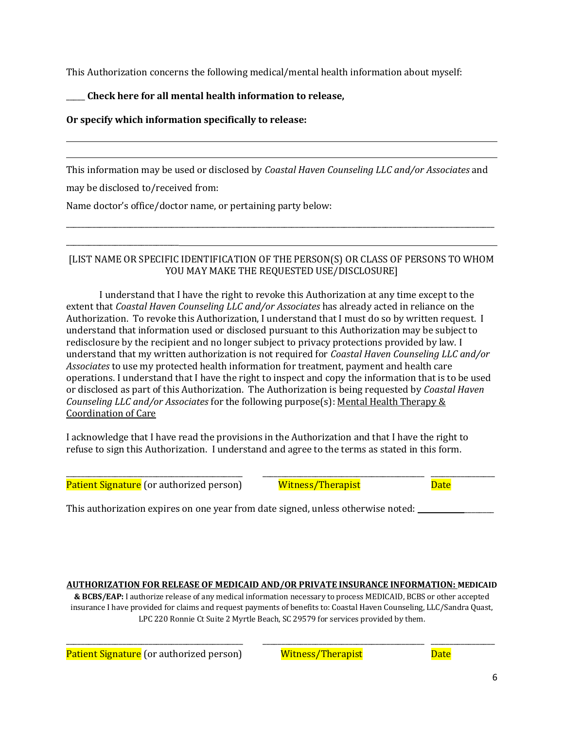This Authorization concerns the following medical/mental health information about myself:

# \_\_\_\_\_ **Check here for all mental health information to release,**

# **Or specify which information specifically to release:**

This information may be used or disclosed by *Coastal Haven Counseling LLC and/or Associates* and

may be disclosed to/received from:

\_\_\_\_\_\_\_\_\_\_\_\_\_\_\_\_\_\_\_\_\_\_\_\_\_\_\_\_\_\_

Name doctor's office/doctor name, or pertaining party below:

# [LIST NAME OR SPECIFIC IDENTIFICATION OF THE PERSON(S) OR CLASS OF PERSONS TO WHOM YOU MAY MAKE THE REQUESTED USE/DISCLOSURE]

\_\_\_\_\_\_\_\_\_\_\_\_\_\_\_\_\_\_\_\_\_\_\_\_\_\_\_\_\_\_\_\_\_\_\_\_\_\_\_\_\_\_\_\_\_\_\_\_\_\_\_\_\_\_\_\_\_\_\_\_\_\_\_\_\_\_\_\_\_\_\_\_\_\_\_\_\_\_\_\_\_\_\_\_\_\_\_\_\_\_\_\_\_\_\_\_\_\_\_\_\_\_\_\_\_\_\_\_\_\_\_\_\_\_

I understand that I have the right to revoke this Authorization at any time except to the extent that *Coastal Haven Counseling LLC and/or Associates* has already acted in reliance on the Authorization. To revoke this Authorization, I understand that I must do so by written request. I understand that information used or disclosed pursuant to this Authorization may be subject to redisclosure by the recipient and no longer subject to privacy protections provided by law. I understand that my written authorization is not required for *Coastal Haven Counseling LLC and/or Associates* to use my protected health information for treatment, payment and health care operations. I understand that I have the right to inspect and copy the information that is to be used or disclosed as part of this Authorization. The Authorization is being requested by *Coastal Haven Counseling LLC and/or Associates* for the following purpose(s): Mental Health Therapy & Coordination of Care

I acknowledge that I have read the provisions in the Authorization and that I have the right to refuse to sign this Authorization. I understand and agree to the terms as stated in this form.

Patient Signature (or authorized person) Witness/Therapist Muslim Date

\_\_\_\_\_\_\_\_\_\_\_\_\_\_\_\_\_\_\_\_\_\_\_\_\_\_\_\_\_\_\_\_\_\_\_\_\_\_\_\_\_\_\_\_\_\_\_ \_\_\_\_\_\_\_\_\_\_\_\_\_\_\_\_\_\_\_\_\_\_\_\_\_\_\_\_\_\_\_\_\_\_\_\_\_\_\_\_\_\_\_ \_\_\_\_\_\_\_\_\_\_\_\_\_\_\_\_\_

This authorization expires on one year from date signed, unless otherwise noted: \_\_\_\_\_\_\_\_

## **AUTHORIZATION FOR RELEASE OF MEDICAID AND/OR PRIVATE INSURANCE INFORMATION: MEDICAID**

**& BCBS/EAP:** I authorize release of any medical information necessary to process MEDICAID, BCBS or other accepted insurance I have provided for claims and request payments of benefits to: Coastal Haven Counseling, LLC/Sandra Quast, LPC 220 Ronnie Ct Suite 2 Myrtle Beach, SC 29579 for services provided by them.

\_\_\_\_\_\_\_\_\_\_\_\_\_\_\_\_\_\_\_\_\_\_\_\_\_\_\_\_\_\_\_\_\_\_\_\_\_\_\_\_\_\_\_\_\_\_\_ \_\_\_\_\_\_\_\_\_\_\_\_\_\_\_\_\_\_\_\_\_\_\_\_\_\_\_\_\_\_\_\_\_\_\_\_\_\_\_\_\_\_\_ \_\_\_\_\_\_\_\_\_\_\_\_\_\_\_\_\_

Patient Signature (or authorized person) Witness/Therapist Distribution of Date